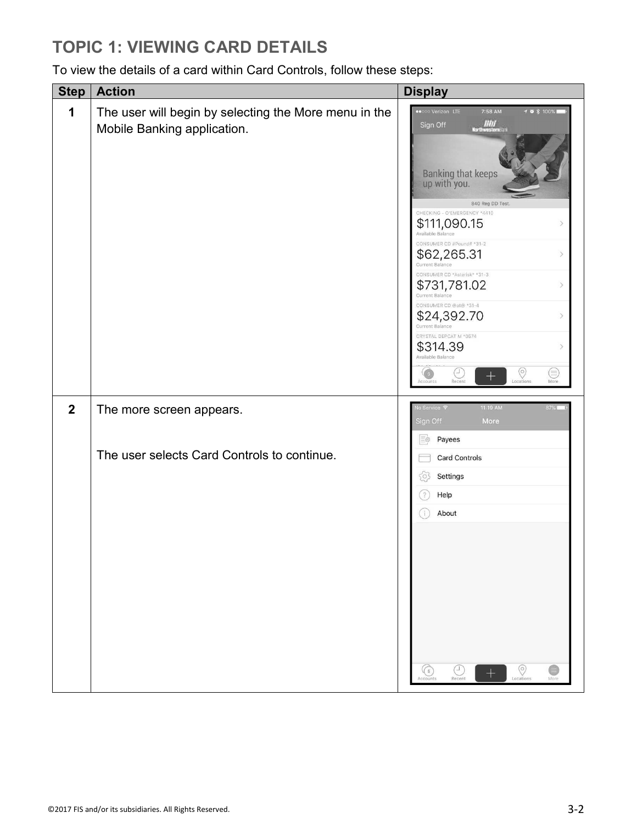#### **TOPIC 1: VIEWING CARD DETAILS**

To view the details of a card within Card Controls, follow these steps:

| <b>Step</b>  | <b>Action</b>                                                                        | <b>Display</b>                                                                                                                                            |  |  |  |
|--------------|--------------------------------------------------------------------------------------|-----------------------------------------------------------------------------------------------------------------------------------------------------------|--|--|--|
| 1            | The user will begin by selecting the More menu in the<br>Mobile Banking application. | Verizon LTE<br>7:58 AM<br>$70*100*$<br>$\frac{m}{2}$<br>Sign Off<br>Banking that keeps<br>up with you.<br>840 Reg DD Test<br>CHECKING - O'EMERGENCY *4410 |  |  |  |
|              |                                                                                      | \$111,090.15<br>Э<br>Available Balance                                                                                                                    |  |  |  |
|              |                                                                                      | CONSUMER CD #Pound# *31-2<br>$$62,265.31$<br>Current Balance<br>$\rightarrow$                                                                             |  |  |  |
|              |                                                                                      | CONSUMER CD *Asterisk* *31-3<br>\$731,781.02<br>$\rightarrow$<br>Current Balance                                                                          |  |  |  |
|              |                                                                                      | CONSUMER CD @at@ *31-4<br>\$24,392.70<br>$\mathcal{P}$<br>Current Balance                                                                                 |  |  |  |
|              |                                                                                      | CRYSTAL DEPCAT M *0574<br>\$314.39<br>$\rightarrow$<br>Available Balance                                                                                  |  |  |  |
|              |                                                                                      | $\circledcirc$<br>C<br>⊜<br>$\hspace{0.1mm} +\hspace{0.1mm}$<br>Locations<br>Accounts<br>Recent<br>More                                                   |  |  |  |
| $\mathbf{2}$ | The more screen appears.                                                             | 11:19 AM<br>lo Service 〒<br>87%L<br>Sign Off<br>More                                                                                                      |  |  |  |
|              | The user selects Card Controls to continue.                                          | Payees<br>三级                                                                                                                                              |  |  |  |
|              |                                                                                      | <b>Card Controls</b><br>Settings<br>$\circ$                                                                                                               |  |  |  |
|              |                                                                                      | Help<br>$\mathcal{P}$                                                                                                                                     |  |  |  |
|              |                                                                                      | About<br>i.                                                                                                                                               |  |  |  |
|              |                                                                                      |                                                                                                                                                           |  |  |  |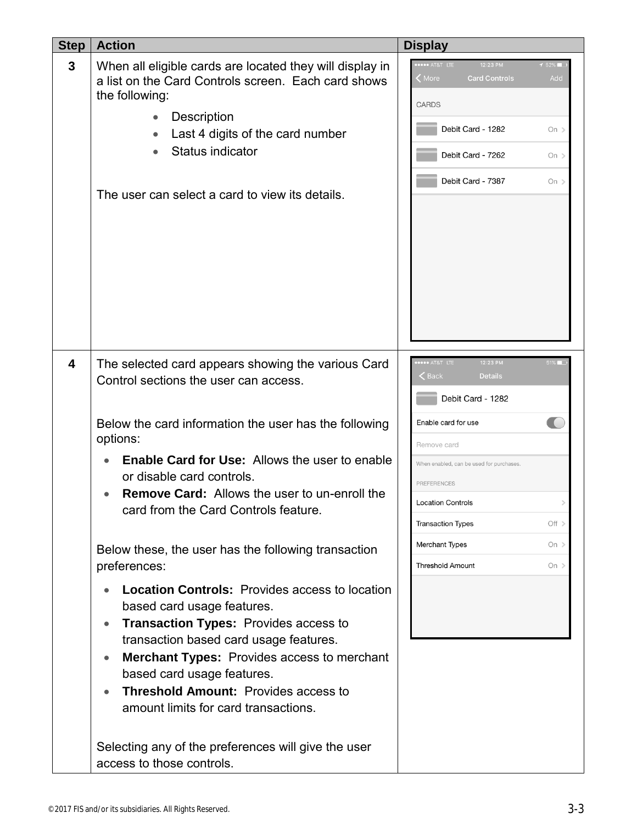| <b>Step</b> | <b>Action</b>                                                                                                                                                                                                                                                                                                                                                                      | <b>Display</b>                                                                                                                                                                                  |
|-------------|------------------------------------------------------------------------------------------------------------------------------------------------------------------------------------------------------------------------------------------------------------------------------------------------------------------------------------------------------------------------------------|-------------------------------------------------------------------------------------------------------------------------------------------------------------------------------------------------|
| 3           | When all eligible cards are located they will display in<br>a list on the Card Controls screen. Each card shows<br>the following:<br>Description<br>Last 4 digits of the card number<br>Status indicator<br>The user can select a card to view its details.                                                                                                                        | <b>****</b> AT&T LTE<br>12:23 PM<br>$152\%$<br>More<br><b>Card Controls</b><br>Add<br><b>CARDS</b><br>Debit Card - 1282<br>On $>$<br>Debit Card - 7262<br>On $>$<br>Debit Card - 7387<br>On $>$ |
| 4           | The selected card appears showing the various Card<br>Control sections the user can access.                                                                                                                                                                                                                                                                                        | <b></b> AT&T LTE<br>12:23 PM<br>51%<br>$\epsilon$ Back<br><b>Details</b><br>Debit Card - 1282                                                                                                   |
|             | Below the card information the user has the following<br>options:                                                                                                                                                                                                                                                                                                                  | Enable card for use                                                                                                                                                                             |
|             | <b>Enable Card for Use:</b> Allows the user to enable<br>or disable card controls.<br><b>Remove Card:</b> Allows the user to un-enroll the<br>card from the Card Controls feature.                                                                                                                                                                                                 | Remove card<br>When enabled, can be used for purchases                                                                                                                                          |
|             |                                                                                                                                                                                                                                                                                                                                                                                    | <b>PREFERENCES</b>                                                                                                                                                                              |
|             |                                                                                                                                                                                                                                                                                                                                                                                    | <b>Location Controls</b>                                                                                                                                                                        |
|             |                                                                                                                                                                                                                                                                                                                                                                                    | <b>Transaction Types</b><br>Off >                                                                                                                                                               |
|             | Below these, the user has the following transaction                                                                                                                                                                                                                                                                                                                                | Merchant Types<br>On $>$                                                                                                                                                                        |
|             | preferences:                                                                                                                                                                                                                                                                                                                                                                       | <b>Threshold Amount</b><br>On $>$                                                                                                                                                               |
|             | <b>Location Controls: Provides access to location</b><br>based card usage features.<br><b>Transaction Types: Provides access to</b><br>$\bullet$<br>transaction based card usage features.<br><b>Merchant Types:</b> Provides access to merchant<br>based card usage features.<br><b>Threshold Amount: Provides access to</b><br>$\bullet$<br>amount limits for card transactions. |                                                                                                                                                                                                 |
|             | Selecting any of the preferences will give the user<br>access to those controls.                                                                                                                                                                                                                                                                                                   |                                                                                                                                                                                                 |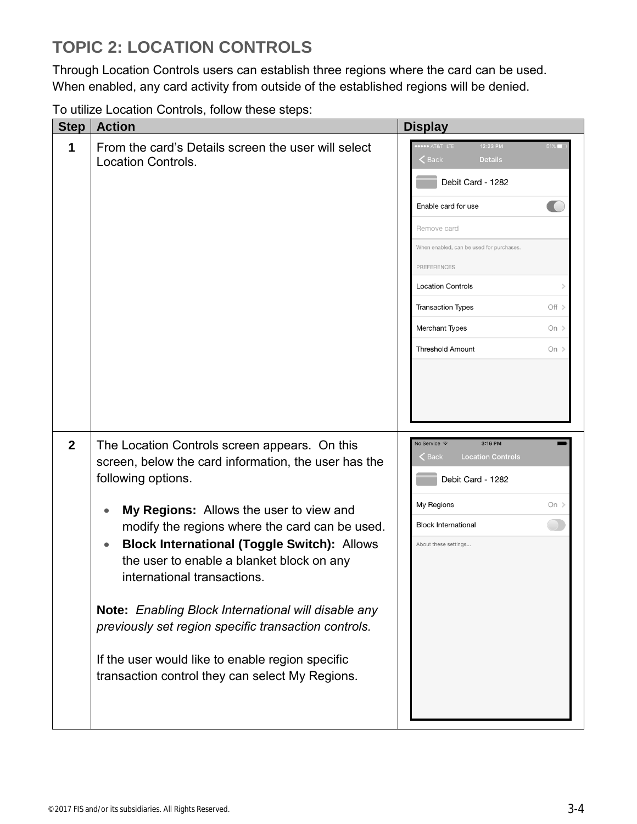# **TOPIC 2: LOCATION CONTROLS**

Through Location Controls users can establish three regions where the card can be used. When enabled, any card activity from outside of the established regions will be denied.

To utilize Location Controls, follow these steps:

| <b>Step</b>  | <b>Action</b>                                                                                                                                                                                                                                                                                                                                                                                                                                                                                                                                                                                              | <b>Display</b>                                                                                                                                                                                                                                                                                                                |
|--------------|------------------------------------------------------------------------------------------------------------------------------------------------------------------------------------------------------------------------------------------------------------------------------------------------------------------------------------------------------------------------------------------------------------------------------------------------------------------------------------------------------------------------------------------------------------------------------------------------------------|-------------------------------------------------------------------------------------------------------------------------------------------------------------------------------------------------------------------------------------------------------------------------------------------------------------------------------|
| 1            | From the card's Details screen the user will select<br><b>Location Controls.</b>                                                                                                                                                                                                                                                                                                                                                                                                                                                                                                                           | <b>*** AT&amp;T LTE</b><br>12:23 PM<br>$\zeta$ Back<br><b>Details</b><br>Debit Card - 1282<br>Enable card for use<br>Remove card<br>When enabled, can be used for purchases.<br>PREFERENCES<br><b>Location Controls</b><br><b>Transaction Types</b><br>Off ><br>Merchant Types<br>On $>$<br><b>Threshold Amount</b><br>On $>$ |
| $\mathbf{2}$ | The Location Controls screen appears. On this<br>screen, below the card information, the user has the<br>following options.<br>My Regions: Allows the user to view and<br>$\bullet$<br>modify the regions where the card can be used.<br><b>Block International (Toggle Switch): Allows</b><br>$\bullet$<br>the user to enable a blanket block on any<br>international transactions.<br>Note: Enabling Block International will disable any<br>previously set region specific transaction controls.<br>If the user would like to enable region specific<br>transaction control they can select My Regions. | 3:16 PM<br>No Service <sup>•</sup><br><b>Back</b><br><b>Location Controls</b><br>Debit Card - 1282<br>My Regions<br>On $>$<br><b>Block International</b><br>About these settings                                                                                                                                              |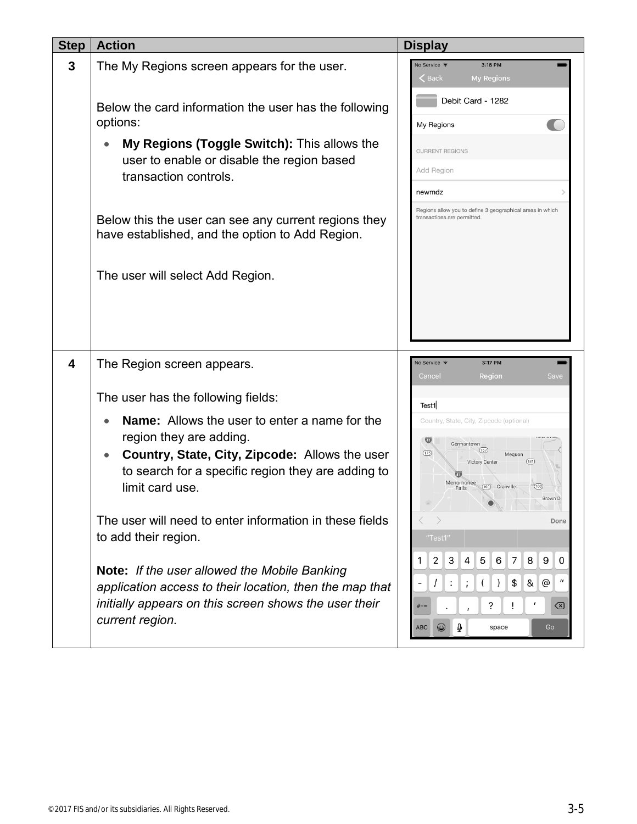| <b>Step</b> | <b>Action</b>                                                                                                                                                                                                           | <b>Display</b>                                                                                                                                                                                                                                     |
|-------------|-------------------------------------------------------------------------------------------------------------------------------------------------------------------------------------------------------------------------|----------------------------------------------------------------------------------------------------------------------------------------------------------------------------------------------------------------------------------------------------|
| 3           | The My Regions screen appears for the user.                                                                                                                                                                             | No Service <sup>•</sup><br>3:16 PM<br><b>E</b> Back<br><b>My Regions</b>                                                                                                                                                                           |
|             | Below the card information the user has the following<br>options:                                                                                                                                                       | Debit Card - 1282<br>My Regions                                                                                                                                                                                                                    |
|             | My Regions (Toggle Switch): This allows the<br>$\bullet$<br>user to enable or disable the region based<br>transaction controls.                                                                                         | <b>CURRENT REGIONS</b><br>Add Region<br>newmdz                                                                                                                                                                                                     |
|             | Below this the user can see any current regions they<br>have established, and the option to Add Region.                                                                                                                 | Regions allow you to define 3 geographical areas in which<br>transactions are permitted.                                                                                                                                                           |
|             | The user will select Add Region.                                                                                                                                                                                        |                                                                                                                                                                                                                                                    |
| 4           | The Region screen appears.                                                                                                                                                                                              | No Service <del>?</del><br>3:17 PM                                                                                                                                                                                                                 |
|             | The user has the following fields:                                                                                                                                                                                      | Region<br>Save<br>Cancel<br>Test1                                                                                                                                                                                                                  |
|             | <b>Name:</b> Allows the user to enter a name for the<br>region they are adding.<br>Country, State, City, Zipcode: Allows the user<br>$\bullet$<br>to search for a specific region they are adding to<br>limit card use. | Country, State, City, Zipcode (optional)<br>$\mathbf{U}$<br>Germantown<br>(167)<br>(175)<br>Mequon<br><b>Victory Center</b><br>(181)<br>Menomonee<br>(100) Granville<br>(100)<br>Falls<br>Brown D                                                  |
|             | The user will need to enter information in these fields<br>to add their region.                                                                                                                                         | Done<br>"Test1"                                                                                                                                                                                                                                    |
|             | Note: If the user allowed the Mobile Banking<br>application access to their location, then the map that<br>initially appears on this screen shows the user their<br>current region.                                     | 3<br>$\mathbf{2}$<br>4 <sup>1</sup><br>5 <sup>5</sup><br>6 <sup>1</sup><br>7 <sup>1</sup><br>8<br>9<br>0<br>1.<br>&<br>\$<br>@<br>$\lambda$<br>$\ddot{\cdot}$<br>$\ddot{i}$<br>$\Box$<br>?<br>Ţ<br>imes<br>$# + =$<br>Q<br>۲<br>ABC<br>space<br>Go |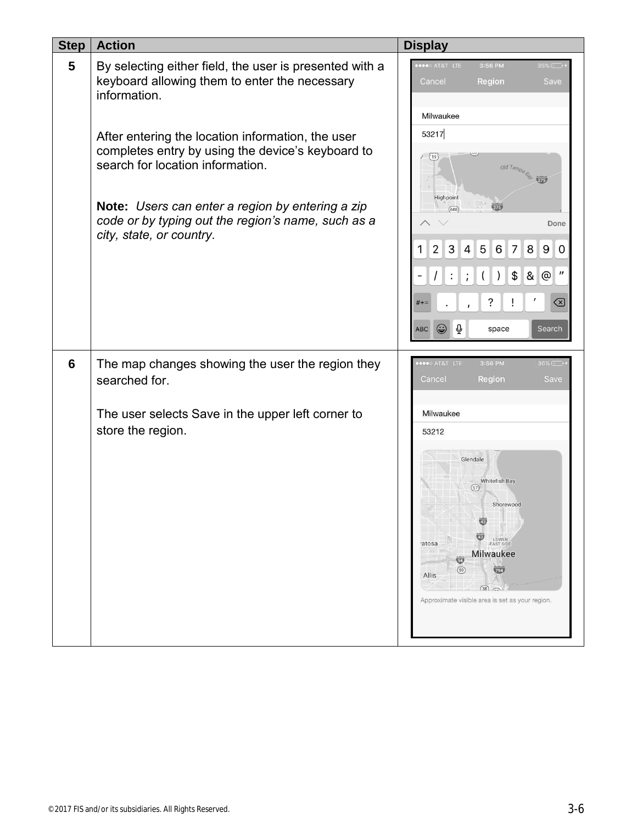| <b>Step</b> | <b>Action</b>                                                                                                                              | <b>Display</b>                                                                                                                                                                                                                                                                     |
|-------------|--------------------------------------------------------------------------------------------------------------------------------------------|------------------------------------------------------------------------------------------------------------------------------------------------------------------------------------------------------------------------------------------------------------------------------------|
| 5           | By selecting either field, the user is presented with a<br>keyboard allowing them to enter the necessary<br>information.                   | •••○ AT&T LTE<br>3:56 PM<br>35%<br>Cancel<br>Region<br>Save<br>Milwaukee                                                                                                                                                                                                           |
|             | After entering the location information, the user<br>completes entry by using the device's keyboard to<br>search for location information. | 53217<br>(19∫<br>old Tampa & TIB                                                                                                                                                                                                                                                   |
|             | Note: Users can enter a region by entering a zip<br>code or by typing out the region's name, such as a<br>city, state, or country.         | Highpoint<br>275<br>(688)<br>Done<br>4 5 <br>7 <sup>1</sup><br>3<br>6 <sup>1</sup><br>8<br>9 0<br>2 <sup>2</sup><br>1<br>@ ″<br>$(\vert)$<br>$$\vert$<br>8 <sub>l</sub><br>$\prime$<br>$\colon$<br>$\ddot{i}$<br>?<br>(x)<br>$# + =$<br>$\varrho$<br>space<br>Search<br><b>ABC</b> |
| 6           | The map changes showing the user the region they<br>searched for.                                                                          | <b>OBOO AT&amp;T LTE</b><br>3:56 PM<br>$36\%$<br>Cancel<br>Save<br><b>Region</b>                                                                                                                                                                                                   |
|             | The user selects Save in the upper left corner to<br>store the region.                                                                     | Milwaukee<br>53212<br>Glendale<br><b>Whitefish Bay</b><br>(57)<br>Shorewood<br>$\overline{43}$<br>(43)<br>LOWER<br>EAST SIDE<br>atosa<br><b>Milwaukee</b><br>$\overline{\mathbb{Z}}$<br>(59)<br>794<br>Allis<br>$(38)$ $\sim$<br>Approximate visible area is set as your region.   |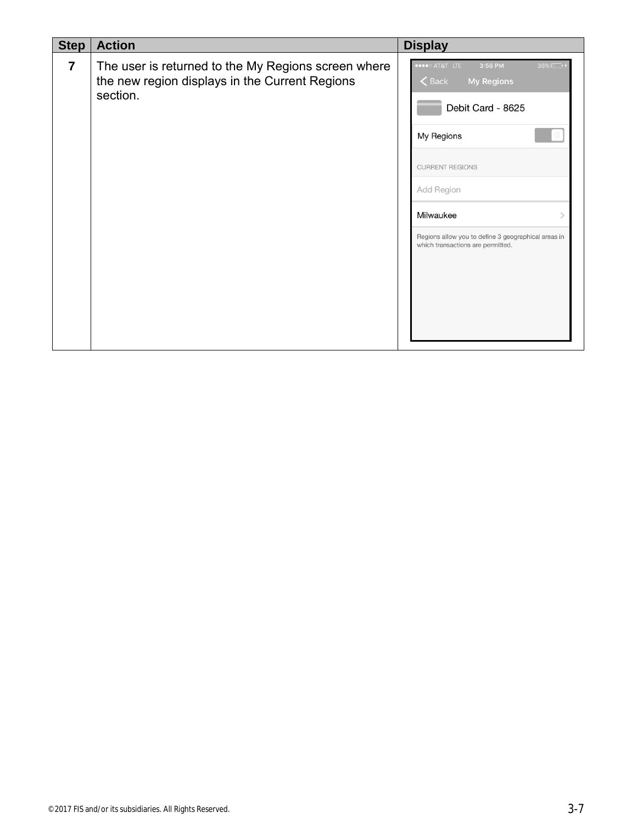| <b>Step</b>    | <b>Action</b>                                                                                                     | <b>Display</b>                                                                                                                                                                                                                                            |
|----------------|-------------------------------------------------------------------------------------------------------------------|-----------------------------------------------------------------------------------------------------------------------------------------------------------------------------------------------------------------------------------------------------------|
| $\overline{7}$ | The user is returned to the My Regions screen where<br>the new region displays in the Current Regions<br>section. | ••••○ AT&T LTE<br>3:56 PM<br>36%<br>$\zeta$ Back<br><b>My Regions</b><br>Debit Card - 8625<br>My Regions<br><b>CURRENT REGIONS</b><br>Add Region<br>Milwaukee<br>Regions allow you to define 3 geographical areas in<br>which transactions are permitted. |
|                |                                                                                                                   |                                                                                                                                                                                                                                                           |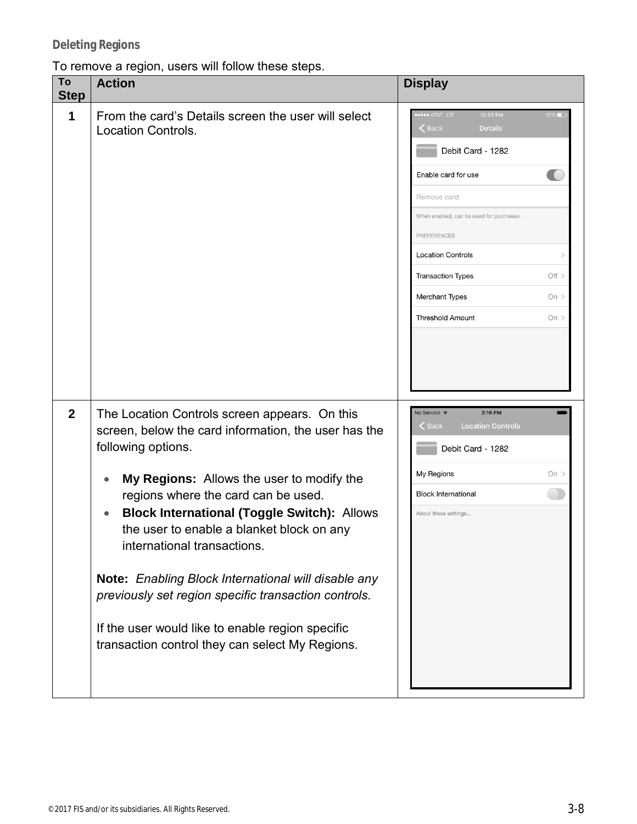#### To remove a region, users will follow these steps.

| To<br><b>Step</b> | <b>Action</b>                                                                                                                                                                                                                                                                                                                                                                                                                                                                                                                                                                                     | <b>Display</b>                                                                                                                                                                                                                                                                                                               |
|-------------------|---------------------------------------------------------------------------------------------------------------------------------------------------------------------------------------------------------------------------------------------------------------------------------------------------------------------------------------------------------------------------------------------------------------------------------------------------------------------------------------------------------------------------------------------------------------------------------------------------|------------------------------------------------------------------------------------------------------------------------------------------------------------------------------------------------------------------------------------------------------------------------------------------------------------------------------|
| 1                 | From the card's Details screen the user will select<br><b>Location Controls.</b>                                                                                                                                                                                                                                                                                                                                                                                                                                                                                                                  | 12:23 PM<br>AT&T LTE<br>$\zeta$ Back<br><b>Details</b><br>Debit Card - 1282<br>Enable card for use<br>Remove card<br>When enabled, can be used for purchases.<br><b>PREFERENCES</b><br><b>Location Controls</b><br><b>Transaction Types</b><br>Off ><br><b>Merchant Types</b><br>On $>$<br><b>Threshold Amount</b><br>On $>$ |
| $\boldsymbol{2}$  | The Location Controls screen appears. On this<br>screen, below the card information, the user has the<br>following options.<br>My Regions: Allows the user to modify the<br>$\bullet$<br>regions where the card can be used.<br><b>Block International (Toggle Switch): Allows</b><br>$\bullet$<br>the user to enable a blanket block on any<br>international transactions.<br>Note: Enabling Block International will disable any<br>previously set region specific transaction controls.<br>If the user would like to enable region specific<br>transaction control they can select My Regions. | 3:16 PM<br>No Service <sup>•</sup><br><b>Location Controls</b><br><b>Back</b><br>Debit Card - 1282<br>My Regions<br>On $>$<br><b>Block International</b><br>About these settings                                                                                                                                             |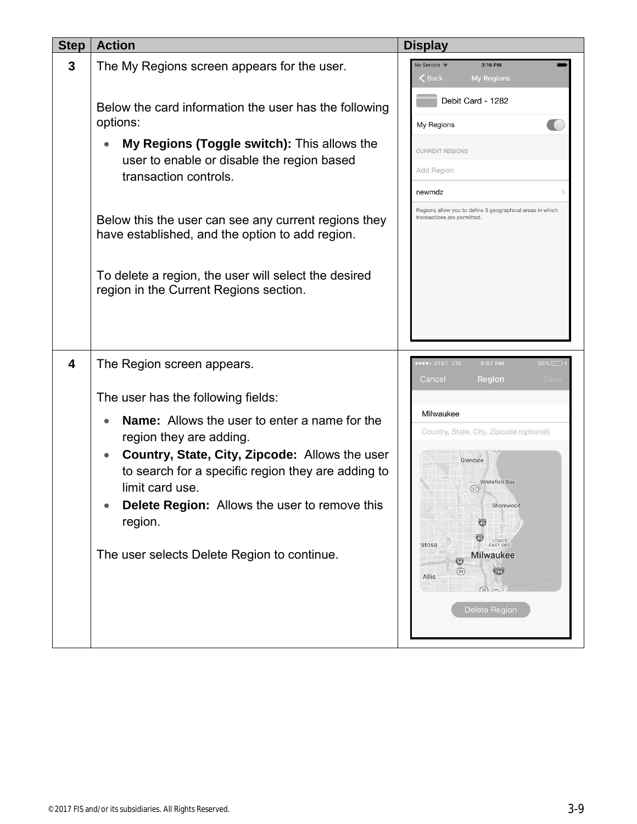| <b>Step</b> | <b>Action</b>                                                                                                                        | <b>Display</b>                                                                               |
|-------------|--------------------------------------------------------------------------------------------------------------------------------------|----------------------------------------------------------------------------------------------|
| 3           | The My Regions screen appears for the user.                                                                                          | 3:16 PM<br>No Service <sup>•</sup><br><b>&lt;</b> Back<br><b>My Regions</b>                  |
|             | Below the card information the user has the following<br>options:                                                                    | Debit Card - 1282<br>My Regions                                                              |
|             | My Regions (Toggle switch): This allows the<br>$\bullet$<br>user to enable or disable the region based                               | <b>CURRENT REGIONS</b><br>Add Region                                                         |
|             | transaction controls.                                                                                                                | newmdz                                                                                       |
|             | Below this the user can see any current regions they<br>have established, and the option to add region.                              | Regions allow you to define 3 geographical areas in which<br>transactions are permitted.     |
|             | To delete a region, the user will select the desired<br>region in the Current Regions section.                                       |                                                                                              |
|             |                                                                                                                                      |                                                                                              |
| 4           | The Region screen appears.                                                                                                           | <b>OBOO AT&amp;T LTE</b><br>3:57 PM<br>$36\%$<br>Cancel<br>Region<br>Save                    |
|             | The user has the following fields:                                                                                                   |                                                                                              |
|             | <b>Name:</b> Allows the user to enter a name for the<br>$\bullet$<br>region they are adding.                                         | Milwaukee<br>Country, State, City, Zipcode (optional)                                        |
|             | Country, State, City, Zipcode: Allows the user<br>$\bullet$<br>to search for a specific region they are adding to<br>limit card use. | Glendale<br>Whitefish Bay<br>(57)                                                            |
|             | Delete Region: Allows the user to remove this<br>$\bullet$<br>region.                                                                | Shorewood<br>LOWER<br>EAST SIDE<br>atosa                                                     |
|             | The user selects Delete Region to continue.                                                                                          | <b>Milwaukee</b><br>$\overline{\mathbf{w}}$<br>(59)<br>794<br>Allis<br>(38)<br>Delete Region |
|             |                                                                                                                                      |                                                                                              |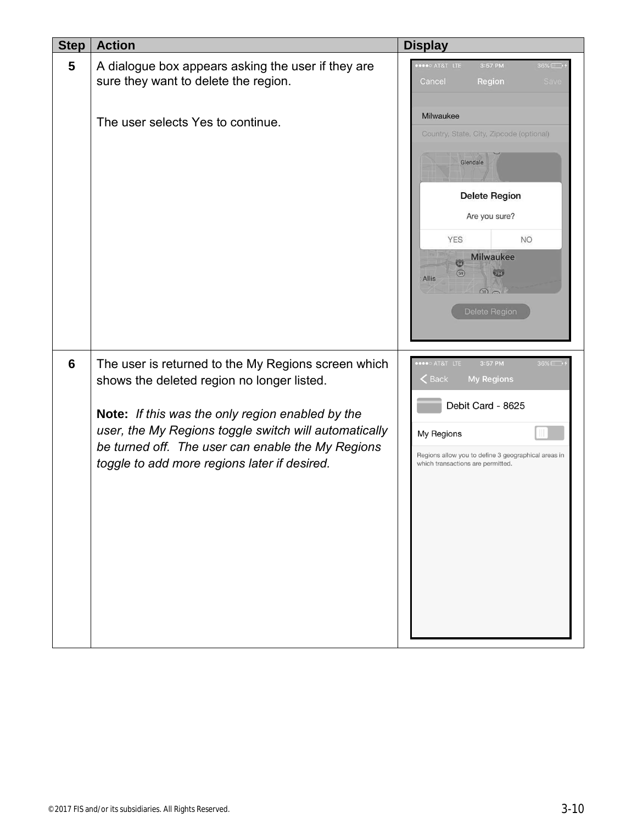| <b>Step</b> | <b>Action</b>                                                                                                                                                                                                                                                                                                       | <b>Display</b>                                                                                                                                                                                                                                      |
|-------------|---------------------------------------------------------------------------------------------------------------------------------------------------------------------------------------------------------------------------------------------------------------------------------------------------------------------|-----------------------------------------------------------------------------------------------------------------------------------------------------------------------------------------------------------------------------------------------------|
| 5           | A dialogue box appears asking the user if they are<br>sure they want to delete the region.                                                                                                                                                                                                                          | <b>OBOO AT&amp;T LTE</b><br>3:57 PM<br>36%<br>Cancel<br>Region<br><b>Save</b>                                                                                                                                                                       |
|             | The user selects Yes to continue.                                                                                                                                                                                                                                                                                   | Milwaukee<br>Country, State, City, Zipcode (optional)<br>Glendale<br>Delete Region<br>Are you sure?<br><b>YES</b><br><b>NO</b><br><b>Milwaukee</b><br>$\overline{\mathbf{w}}$<br>(59)<br>794<br><b>Allis</b><br>$\sqrt{38}$ $\sim$<br>Delete Region |
| 6           | The user is returned to the My Regions screen which<br>shows the deleted region no longer listed.<br>Note: If this was the only region enabled by the<br>user, the My Regions toggle switch will automatically<br>be turned off. The user can enable the My Regions<br>toggle to add more regions later if desired. | ●●●○ AT&T LTE<br>3:57 PM<br>36%<br>$\leq$ Back<br><b>My Regions</b><br>Debit Card - 8625<br>My Regions<br>Regions allow you to define 3 geographical areas in<br>which transactions are permitted.                                                  |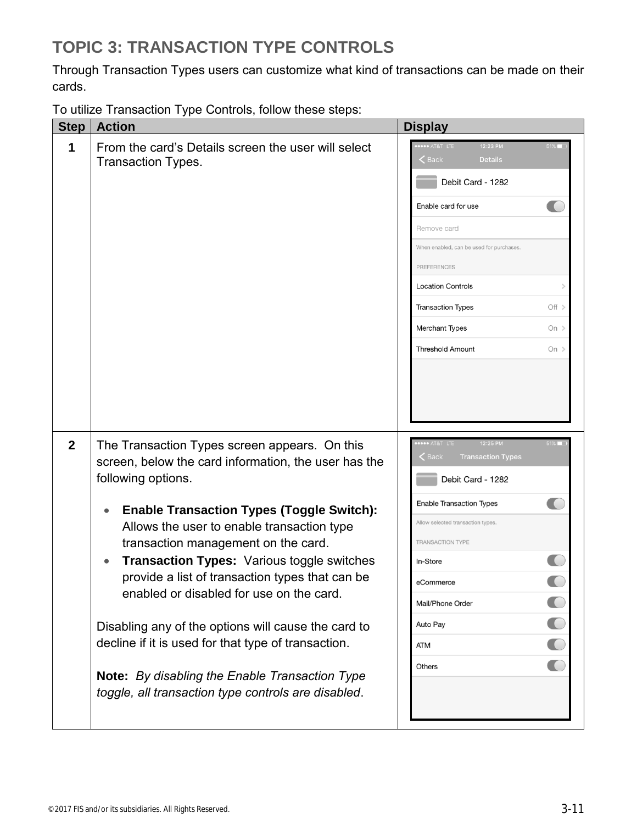### **TOPIC 3: TRANSACTION TYPE CONTROLS**

Through Transaction Types users can customize what kind of transactions can be made on their cards.

To utilize Transaction Type Controls, follow these steps:

| <b>Step</b>    | ╯<br><b>Action</b>                                                                                                                                                                                                                                                                                                                                                                                                                                                                                                                                                                                                                              | <b>Display</b>                                                                                                                                                                                                      |                                                                                             |                           |
|----------------|-------------------------------------------------------------------------------------------------------------------------------------------------------------------------------------------------------------------------------------------------------------------------------------------------------------------------------------------------------------------------------------------------------------------------------------------------------------------------------------------------------------------------------------------------------------------------------------------------------------------------------------------------|---------------------------------------------------------------------------------------------------------------------------------------------------------------------------------------------------------------------|---------------------------------------------------------------------------------------------|---------------------------|
| 1              | From the card's Details screen the user will select<br><b>Transaction Types.</b>                                                                                                                                                                                                                                                                                                                                                                                                                                                                                                                                                                | <b>**** AT&amp;T LTE</b><br>$\zeta$ Back<br>Enable card for use<br>Remove card<br><b>PREFERENCES</b><br><b>Location Controls</b><br><b>Transaction Types</b><br>Merchant Types<br><b>Threshold Amount</b>           | 12:23 PM<br><b>Details</b><br>Debit Card - 1282<br>When enabled, can be used for purchases. | Off ><br>On $>$<br>On $>$ |
| $\overline{2}$ | The Transaction Types screen appears. On this<br>screen, below the card information, the user has the<br>following options.<br><b>Enable Transaction Types (Toggle Switch):</b><br>Allows the user to enable transaction type<br>transaction management on the card.<br><b>Transaction Types: Various toggle switches</b><br>provide a list of transaction types that can be<br>enabled or disabled for use on the card.<br>Disabling any of the options will cause the card to<br>decline if it is used for that type of transaction.<br>Note: By disabling the Enable Transaction Type<br>toggle, all transaction type controls are disabled. | <b></b> AT&T LTE<br><b>Back</b><br><b>Enable Transaction Types</b><br>Allow selected transaction types.<br><b>TRANSACTION TYPE</b><br>In-Store<br>eCommerce<br>Mail/Phone Order<br>Auto Pay<br><b>ATM</b><br>Others | 12:25 PM<br><b>Transaction Types</b><br>Debit Card - 1282                                   | $51\%$                    |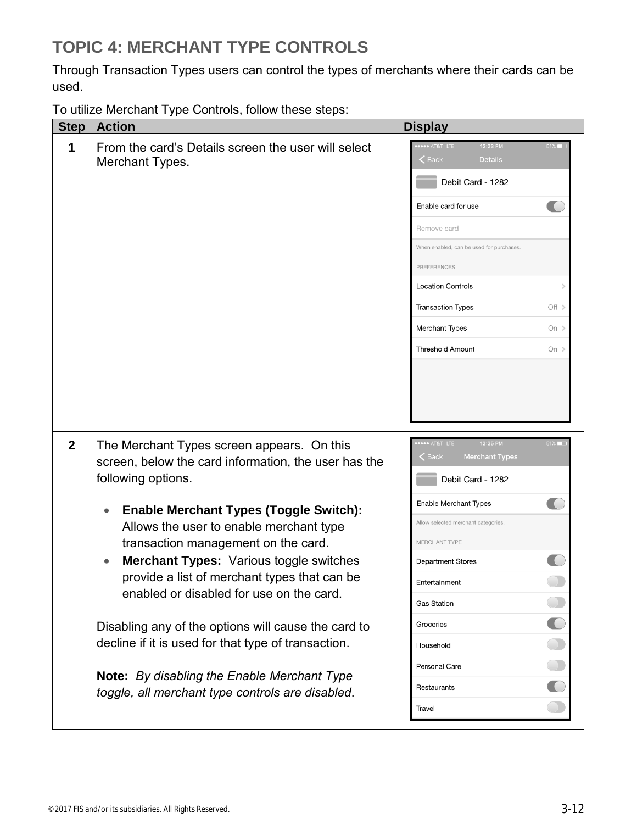## **TOPIC 4: MERCHANT TYPE CONTROLS**

Through Transaction Types users can control the types of merchants where their cards can be used.

To utilize Merchant Type Controls, follow these steps:

| <b>Step</b>    | <b>Action</b>                                                                                                                                                                                                 |  | <b>Display</b>                            |                                                        |        |
|----------------|---------------------------------------------------------------------------------------------------------------------------------------------------------------------------------------------------------------|--|-------------------------------------------|--------------------------------------------------------|--------|
| 1              | From the card's Details screen the user will select<br>Merchant Types.                                                                                                                                        |  |                                           | 12:23 PM<br><b>Details</b><br>Debit Card - 1282        | 51%    |
|                |                                                                                                                                                                                                               |  |                                           | Enable card for use                                    |        |
|                |                                                                                                                                                                                                               |  | Remove card                               |                                                        |        |
|                |                                                                                                                                                                                                               |  |                                           | When enabled, can be used for purchases.               |        |
|                |                                                                                                                                                                                                               |  | PREFERENCES                               |                                                        |        |
|                |                                                                                                                                                                                                               |  | <b>Location Controls</b>                  |                                                        |        |
|                |                                                                                                                                                                                                               |  | <b>Transaction Types</b>                  |                                                        | Off >  |
|                |                                                                                                                                                                                                               |  | Merchant Types                            |                                                        | On $>$ |
|                |                                                                                                                                                                                                               |  | <b>Threshold Amount</b>                   |                                                        | On $>$ |
| $\overline{2}$ | The Merchant Types screen appears. On this<br>screen, below the card information, the user has the<br>following options.                                                                                      |  | **** AT&T LTE<br>$\epsilon$ Back          | 12:25 PM<br><b>Merchant Types</b><br>Debit Card - 1282 | $51\%$ |
| $\bullet$      | <b>Enable Merchant Types (Toggle Switch):</b>                                                                                                                                                                 |  | Enable Merchant Types                     |                                                        |        |
|                | Allows the user to enable merchant type                                                                                                                                                                       |  |                                           | Allow selected merchant categories.                    |        |
|                | transaction management on the card.<br>Merchant Types: Various toggle switches<br>provide a list of merchant types that can be<br>enabled or disabled for use on the card.                                    |  | MERCHANT TYPE<br><b>Department Stores</b> |                                                        |        |
|                |                                                                                                                                                                                                               |  | Entertainment                             |                                                        |        |
|                |                                                                                                                                                                                                               |  | <b>Gas Station</b>                        |                                                        |        |
|                |                                                                                                                                                                                                               |  | Groceries                                 |                                                        |        |
|                | Disabling any of the options will cause the card to<br>decline if it is used for that type of transaction.<br>Note: By disabling the Enable Merchant Type<br>toggle, all merchant type controls are disabled. |  | Household                                 |                                                        |        |
|                |                                                                                                                                                                                                               |  | Personal Care                             |                                                        |        |
|                |                                                                                                                                                                                                               |  | Restaurants                               |                                                        |        |
|                |                                                                                                                                                                                                               |  | Travel                                    |                                                        |        |
|                |                                                                                                                                                                                                               |  |                                           |                                                        |        |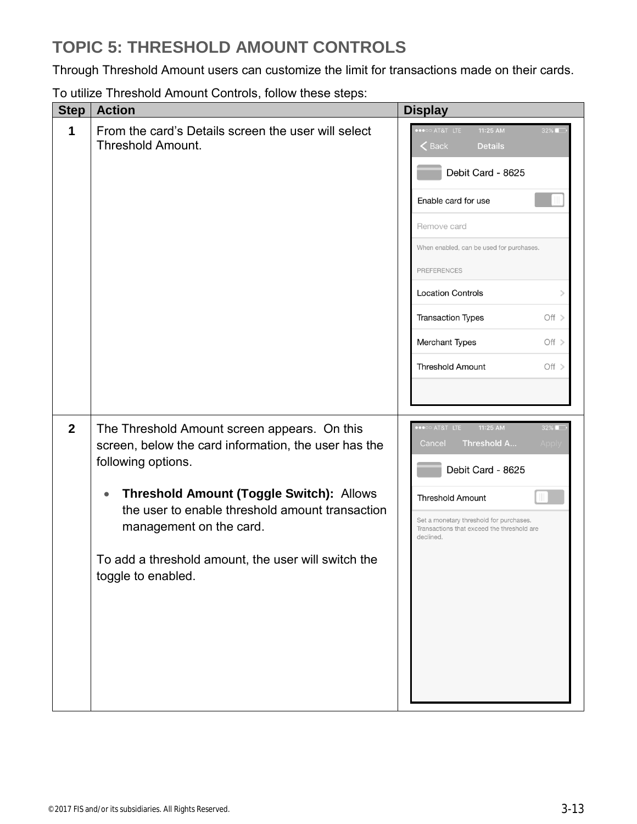## **TOPIC 5: THRESHOLD AMOUNT CONTROLS**

Through Threshold Amount users can customize the limit for transactions made on their cards.

| <b>Step</b>  | <b>Action</b>                                                                                                                                                                                                                                                                                                                                         | <b>Display</b>                                                                                                                                                                                                                                                                                                                                                                                                                                              |
|--------------|-------------------------------------------------------------------------------------------------------------------------------------------------------------------------------------------------------------------------------------------------------------------------------------------------------------------------------------------------------|-------------------------------------------------------------------------------------------------------------------------------------------------------------------------------------------------------------------------------------------------------------------------------------------------------------------------------------------------------------------------------------------------------------------------------------------------------------|
| 1            | From the card's Details screen the user will select<br><b>Threshold Amount.</b>                                                                                                                                                                                                                                                                       | $\overline{\bullet} \bullet \overline{\circ} \circ \overline{\bullet}$ at at $\overline{\phantom{a}}$ lite<br>11:25 AM<br>$32\%$<br>$\mathsf{\langle}$ Back<br><b>Details</b><br>Debit Card - 8625<br>Enable card for use<br>Remove card<br>When enabled, can be used for purchases.<br><b>PREFERENCES</b><br><b>Location Controls</b><br>$\mathcal{P}$<br><b>Transaction Types</b><br>Off ><br>Merchant Types<br>Off ><br><b>Threshold Amount</b><br>Off > |
| $\mathbf{2}$ | The Threshold Amount screen appears. On this<br>screen, below the card information, the user has the<br>following options.<br><b>Threshold Amount (Toggle Switch): Allows</b><br>$\bullet$<br>the user to enable threshold amount transaction<br>management on the card.<br>To add a threshold amount, the user will switch the<br>toggle to enabled. | $32\%$<br>•••○○ AT&T LTE<br>11:25 AM<br>Threshold A<br>Cancel<br>Apply<br>Debit Card - 8625<br><b>Threshold Amount</b><br>Set a monetary threshold for purchases.<br>Transactions that exceed the threshold are<br>declined.                                                                                                                                                                                                                                |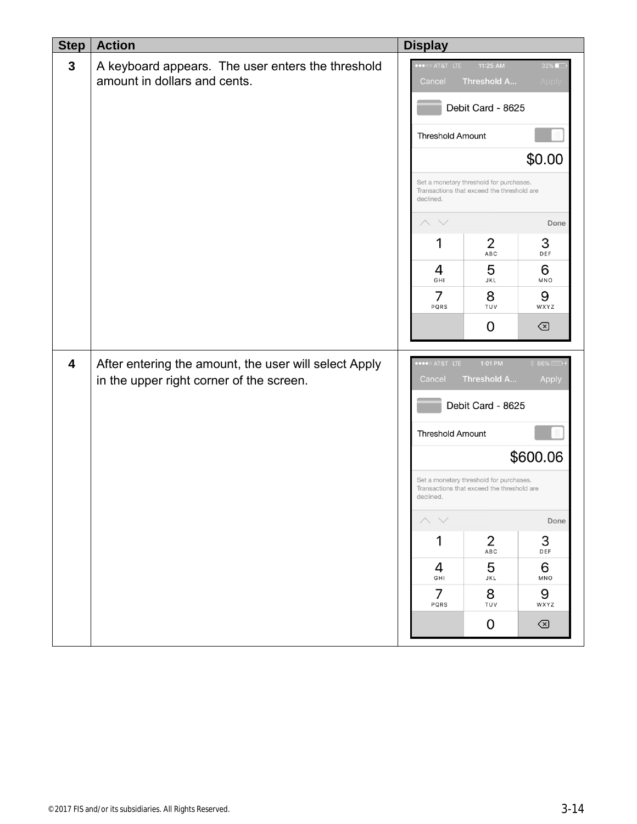| <b>Step</b>  | <b>Action</b>                                                                                     | <b>Display</b>                                                                                     |                                                                                       |                |  |
|--------------|---------------------------------------------------------------------------------------------------|----------------------------------------------------------------------------------------------------|---------------------------------------------------------------------------------------|----------------|--|
| $\mathbf{3}$ | A keyboard appears. The user enters the threshold<br>amount in dollars and cents.                 | $\bullet \circ \circ$ at&t life<br>Threshold A<br>Cancel                                           | 32%<br>Apply                                                                          |                |  |
|              |                                                                                                   | Debit Card - 8625                                                                                  |                                                                                       |                |  |
|              |                                                                                                   | <b>Threshold Amount</b>                                                                            |                                                                                       |                |  |
|              |                                                                                                   |                                                                                                    |                                                                                       | \$0.00         |  |
|              |                                                                                                   | declined.                                                                                          | Set a monetary threshold for purchases.<br>Transactions that exceed the threshold are |                |  |
|              |                                                                                                   |                                                                                                    |                                                                                       | Done           |  |
|              |                                                                                                   | 1                                                                                                  | 2<br>ABC                                                                              | 3<br>DEF       |  |
|              |                                                                                                   | 4<br>GHI                                                                                           | 5<br>JKL                                                                              | 6<br>MNO       |  |
|              |                                                                                                   | 7<br>PQRS                                                                                          | 8<br>TUV                                                                              | 9<br>WXYZ      |  |
|              |                                                                                                   |                                                                                                    | 0                                                                                     | $\circledcirc$ |  |
| 4            | After entering the amount, the user will select Apply<br>in the upper right corner of the screen. | AT&T LTE<br>Cancel                                                                                 | 1:01 PM<br>Threshold A                                                                | 86%<br>Apply   |  |
|              |                                                                                                   |                                                                                                    | Debit Card - 8625                                                                     |                |  |
|              |                                                                                                   | Threshold Amount                                                                                   |                                                                                       |                |  |
|              |                                                                                                   |                                                                                                    |                                                                                       | \$600.06       |  |
|              |                                                                                                   | Set a monetary threshold for purchases.<br>Transactions that exceed the threshold are<br>declined. |                                                                                       |                |  |
|              |                                                                                                   |                                                                                                    |                                                                                       | Done           |  |
|              |                                                                                                   | 1                                                                                                  | $\overline{2}$<br>${\sf ABC}$                                                         | 3<br>DEF       |  |
|              |                                                                                                   | 4<br>GHI                                                                                           | 5<br>JKL                                                                              | 6<br>MNO       |  |
|              |                                                                                                   | 7<br>PQRS                                                                                          | 8<br>TUV                                                                              | 9<br>WXYZ      |  |
|              |                                                                                                   |                                                                                                    | 0                                                                                     | $\odot$        |  |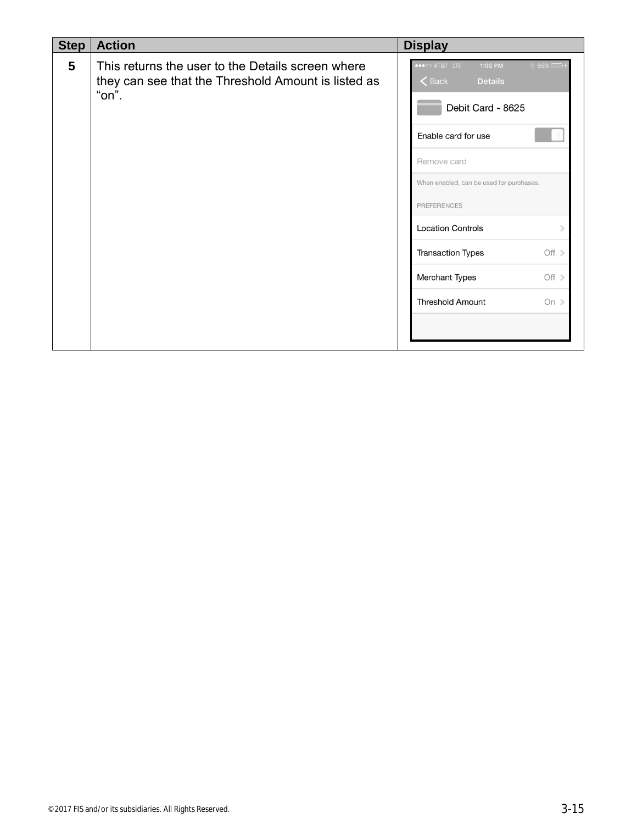| <b>Action</b>                                                                                                     | <b>Display</b>                                                                                                                                                                                                                                                                                                                                                                                     |
|-------------------------------------------------------------------------------------------------------------------|----------------------------------------------------------------------------------------------------------------------------------------------------------------------------------------------------------------------------------------------------------------------------------------------------------------------------------------------------------------------------------------------------|
| This returns the user to the Details screen where<br>they can see that the Threshold Amount is listed as<br>"on". | $\bullet \bullet \circ \circ$ at $\bullet$ at $\bullet$ life<br>1:02 PM<br>86%<br>$\leq$ Back<br><b>Details</b><br>Debit Card - 8625<br>Enable card for use<br>Remove card<br>When enabled, can be used for purchases.<br><b>PREFERENCES</b><br><b>Location Controls</b><br>$\mathcal{P}$<br>Off $>$<br><b>Transaction Types</b><br>Off $>$<br>Merchant Types<br><b>Threshold Amount</b><br>On $>$ |
|                                                                                                                   |                                                                                                                                                                                                                                                                                                                                                                                                    |
|                                                                                                                   |                                                                                                                                                                                                                                                                                                                                                                                                    |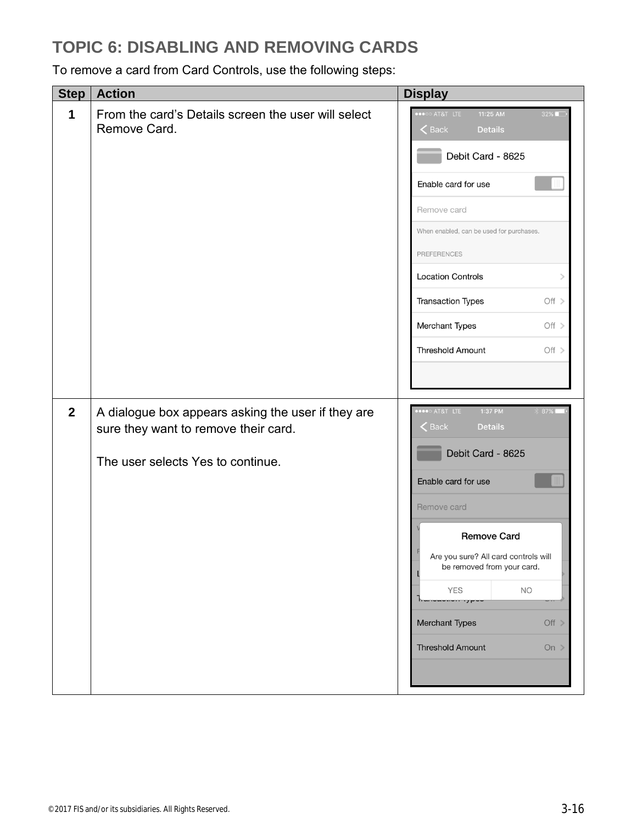#### **TOPIC 6: DISABLING AND REMOVING CARDS**

To remove a card from Card Controls, use the following steps:

| <b>Step</b>  | <b>Action</b>                                                                                                                   | <b>Display</b>                                                                                                                                                                                                                                                                                                                               |
|--------------|---------------------------------------------------------------------------------------------------------------------------------|----------------------------------------------------------------------------------------------------------------------------------------------------------------------------------------------------------------------------------------------------------------------------------------------------------------------------------------------|
| 1            | From the card's Details screen the user will select<br>Remove Card.                                                             | O AT&T LTE<br>11:25 AM<br>32%<br>$\leq$ Back<br><b>Details</b><br>Debit Card - 8625<br>Enable card for use<br>Remove card<br>When enabled, can be used for purchases.<br><b>PREFERENCES</b><br><b>Location Controls</b><br>$\mathcal{P}$<br><b>Transaction Types</b><br>Off ><br>Merchant Types<br>Off ><br><b>Threshold Amount</b><br>Off > |
| $\mathbf{2}$ | A dialogue box appears asking the user if they are<br>sure they want to remove their card.<br>The user selects Yes to continue. | AT&T LTE<br>1:37 PM<br>87%<br>$\zeta$ Back<br><b>Details</b><br>Debit Card - 8625<br>Enable card for use<br>Remove card<br><b>Remove Card</b><br>Are you sure? All card controls will<br>be removed from your card.<br><b>YES</b><br><b>NO</b><br>٦r.<br>Merchant Types<br>Off ><br><b>Threshold Amount</b><br>On $\geq$                     |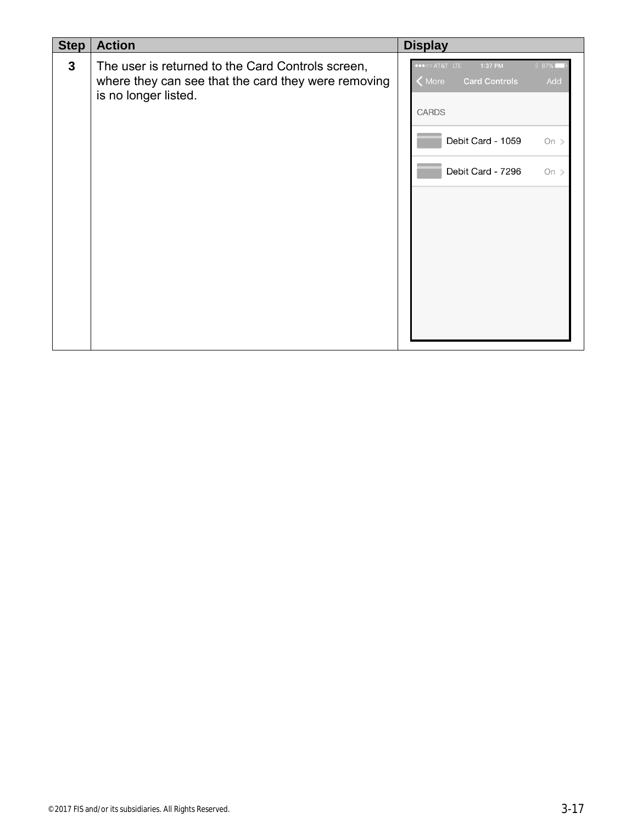| <b>Step</b>  | <b>Action</b>                                                                                                                    | <b>Display</b>                                                                                  |
|--------------|----------------------------------------------------------------------------------------------------------------------------------|-------------------------------------------------------------------------------------------------|
| $\mathbf{3}$ | The user is returned to the Card Controls screen,<br>where they can see that the card they were removing<br>is no longer listed. | •••○○ AT&T LTE<br>87%<br>1:37 PM<br><b>Card Controls</b><br>$\zeta$ More<br>Add<br><b>CARDS</b> |
|              |                                                                                                                                  | Debit Card - 1059<br>On $>$                                                                     |
|              |                                                                                                                                  | Debit Card - 7296<br>On $>$                                                                     |
|              |                                                                                                                                  |                                                                                                 |
|              |                                                                                                                                  |                                                                                                 |
|              |                                                                                                                                  |                                                                                                 |
|              |                                                                                                                                  |                                                                                                 |
|              |                                                                                                                                  |                                                                                                 |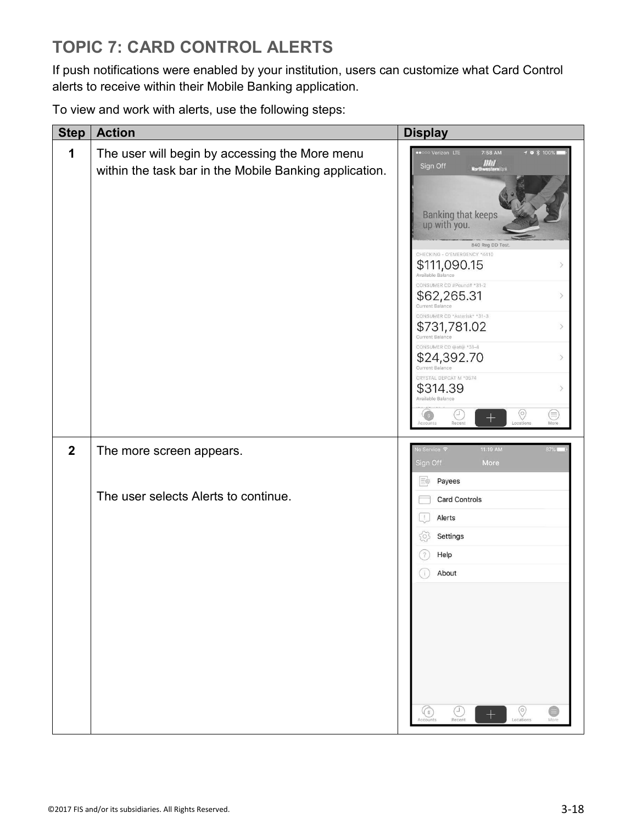# **TOPIC 7: CARD CONTROL ALERTS**

If push notifications were enabled by your institution, users can customize what Card Control alerts to receive within their Mobile Banking application.

To view and work with alerts, use the following steps:

| <b>Step</b>      | <b>Action</b>                                                                                            | <b>Display</b>                                                                                                                                                                                                                                                                                                                                                                                                                                                                                                                                                                                                                              |
|------------------|----------------------------------------------------------------------------------------------------------|---------------------------------------------------------------------------------------------------------------------------------------------------------------------------------------------------------------------------------------------------------------------------------------------------------------------------------------------------------------------------------------------------------------------------------------------------------------------------------------------------------------------------------------------------------------------------------------------------------------------------------------------|
| 1                | The user will begin by accessing the More menu<br>within the task bar in the Mobile Banking application. | Verizon LTE<br>7:58 AM<br>$70*100*$<br>$\frac{III}{1}$<br>Sign Off<br>Banking that keeps<br>up with you.<br>840 Reg DD Test<br>CHECKING - O'EMERGENCY *4410<br>$$111,090.15$ Available Balance<br>$\mathcal{P}$<br>CONSUMER CD #Pound# *31-2<br>\$62,265.31<br>$\rightarrow$<br>Current Balance<br>CONSUMER CD *Asterisk* *31-3<br>\$731,781.02<br>$\rightarrow$<br>Current Balance<br>CONSUMER CD @at@ *31-4<br>\$24,392.70<br>$\mathcal{P}$<br><b>Current Balance</b><br>CRYSTAL DEPCAT M *0574<br>\$314.39<br>$\rightarrow$<br>Available Balance<br>$\circledcirc$<br>C<br>⊜<br>G s<br>$^{+}$<br>Locations<br>Recent<br>More<br>Accounts |
| $\boldsymbol{2}$ | The more screen appears.                                                                                 | 11:19 AM<br>lo Service <i>च</i><br>87%L<br>Sign Off<br>More                                                                                                                                                                                                                                                                                                                                                                                                                                                                                                                                                                                 |
|                  | The user selects Alerts to continue.                                                                     | Payees<br>三の<br><b>Card Controls</b><br>Alerts<br>Settings<br>O.<br>Help<br>About<br>ú.<br>$\circledcirc$<br>e<br>G<br>⊤<br>Recent<br>Locations<br>Accounts<br>More                                                                                                                                                                                                                                                                                                                                                                                                                                                                         |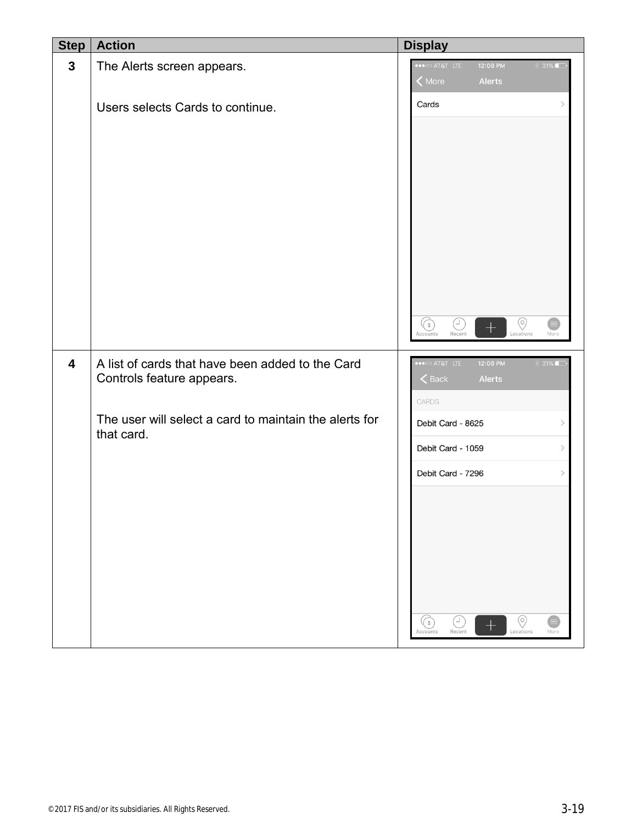| <b>Step</b>             | <b>Action</b>                                                        | <b>Display</b>                                                                                                                        |                                                 |                               |
|-------------------------|----------------------------------------------------------------------|---------------------------------------------------------------------------------------------------------------------------------------|-------------------------------------------------|-------------------------------|
| $\mathbf{3}$            | The Alerts screen appears.                                           | •••○○ AT&T LTE<br>K More                                                                                                              | 12:08 PM<br>Alerts                              | $31\%$                        |
|                         | Users selects Cards to continue.                                     | Cards                                                                                                                                 |                                                 | $\left\langle \right\rangle$  |
| $\overline{\mathbf{4}}$ | A list of cards that have been added to the Card                     | $\widehat{\mathbb{G}}$<br>$\overline{\mathbb{Q}}$<br>Accounts<br>Recent<br>$\bullet \bullet \circ \circ$ at $\bullet \bullet \bullet$ | $\circledcirc$<br>$^+$<br>Locations<br>12:08 PM | €<br>More<br>$31\%$           |
|                         | Controls feature appears.                                            | $\leq$ Back<br>CARDS                                                                                                                  | Alerts                                          |                               |
|                         | The user will select a card to maintain the alerts for<br>that card. | Debit Card - 8625<br>Debit Card - 1059<br>Debit Card - 7296                                                                           |                                                 | $\,$<br>$\,$<br>$\,$          |
|                         |                                                                      | υ<br>(€)<br>Recent<br>Accounts                                                                                                        | $\circledcirc$<br>Locations                     | $\boldsymbol{\Theta}$<br>More |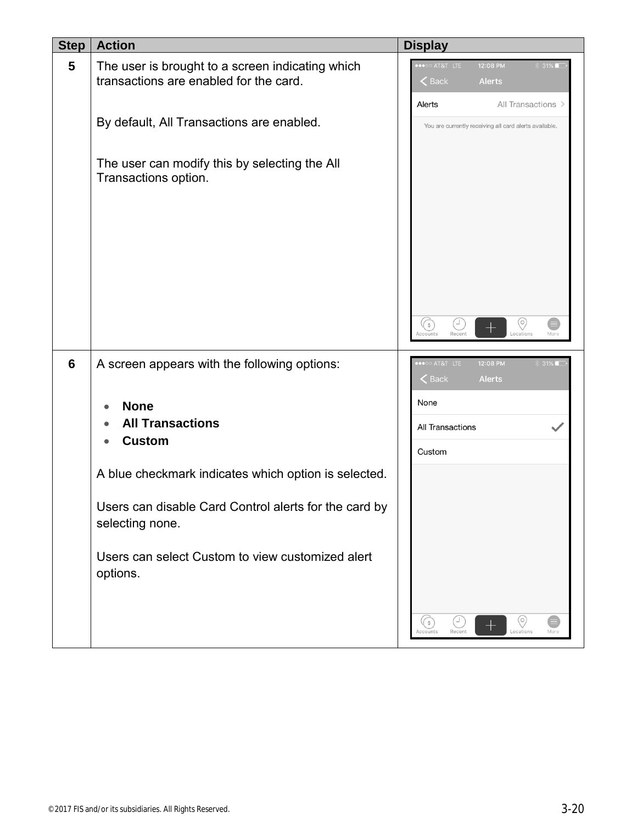| <b>Step</b> | <b>Action</b>                                                                              | <b>Display</b>                |                                                        |        |
|-------------|--------------------------------------------------------------------------------------------|-------------------------------|--------------------------------------------------------|--------|
| 5           | The user is brought to a screen indicating which<br>transactions are enabled for the card. | AT&T LTE<br>$\zeta$ Back      | 12:08 PM<br><b>Alerts</b>                              | 31%    |
|             |                                                                                            | Alerts                        | All Transactions >                                     |        |
|             | By default, All Transactions are enabled.                                                  |                               | You are currently receiving all card alerts available. |        |
|             | The user can modify this by selecting the All<br>Transactions option.                      |                               |                                                        |        |
|             |                                                                                            | (\$່<br>Recent<br>ccounts     | $(\circ)$<br>Locations                                 | More   |
| 6           | A screen appears with the following options:                                               | ••○○ AT&T LTE<br>$\zeta$ Back | 12:08 PM<br><b>Alerts</b>                              | $31\%$ |
|             | <b>None</b>                                                                                | None                          |                                                        |        |
|             | <b>All Transactions</b>                                                                    | All Transactions              |                                                        |        |
|             | <b>Custom</b>                                                                              | Custom                        |                                                        |        |
|             | A blue checkmark indicates which option is selected.                                       |                               |                                                        |        |
|             | Users can disable Card Control alerts for the card by<br>selecting none.                   |                               |                                                        |        |
|             | Users can select Custom to view customized alert<br>options.                               |                               |                                                        |        |
|             |                                                                                            | (\$່<br>Recent<br>Accounts    | (o)<br>┭<br>Locations                                  | More   |